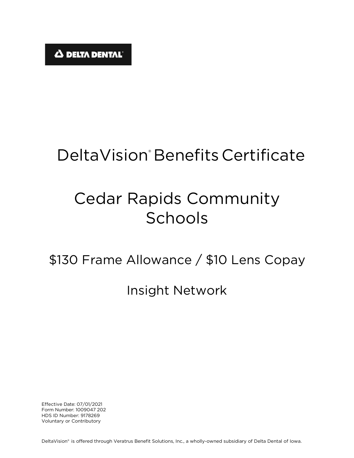# Delta Vision<sup>®</sup> Benefits Certificate

# Cedar Rapids Community Schools

\$130 Frame Allowance / \$10 Lens Copay

Insight Network

Effective Date: 07/01/2021 Form Number: 1009047 202 HDS ID Number: 9178269 Voluntary or Contributory

DeltaVision® is offered through Veratrus Benefit Solutions, Inc., a wholly-owned subsidiary of Delta Dental of Iowa.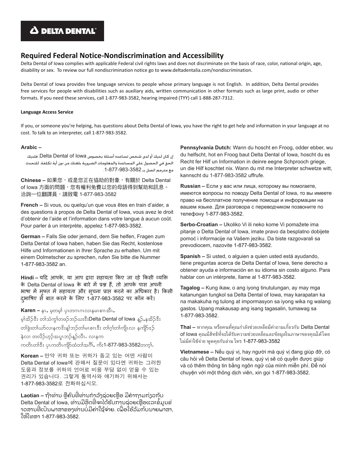#### **Required Federal Notice-Nondiscrimination and Accessibility**

Delta Dental of Iowa complies with applicable Federal civil rights laws and does not discriminate on the basis of race, color, national origin, age, disability or sex. To review our full nondiscrimination notice go to www.deltadentalia.com/nondiscrimination.

Delta Dental of Iowa provides free language services to people whose primary language is not English. In addition, Delta Dental provides free services for people with disabilities such as auxiliary aids, written communication in other formats such as large print, audio or other formats. If you need these services, call 1-877-983-3582, hearing impaired (TYY) call 1-888-287-7312.

#### **Language Access Service**

If you, or someone you're helping, has questions about Delta Dental of Iowa, you have the right to get help and information in your language at no cost. To talk to an interpreter, call 1-877-983-3582.

إن كان لديك أو لدى شخص تساعده أسئلة بخصوص Iowa of Dental Delta، فلديك الحق في الحصول على المساعدة والمعلومات الضرورية بلغتك من دون أية تكلفة. للتحدث مع مترجم اتصل بـ .1-877-983-3582

**Chinese –** 如果您, 或是您正在協助的對象, 有關於 Delta Dental of Iowa 方面的問題,您有權利免費以您的母語得到幫助和訊息。 洽詢一位翻譯員,請致電 1-877-983-3582

**French –** Si vous, ou quelqu'un que vous êtes en train d'aider, a des questions à propos de Delta Dental of Iowa, vous avez le droit d'obtenir de l'aide et l'information dans votre langue à aucun coût. Pour parler à un interprète, appelez 1-877-983-3582.

**German –** Falls Sie oder jemand, dem Sie helfen, Fragen zum Delta Dental of Iowa haben, haben Sie das Recht, kostenlose Hilfe und Informationen in Ihrer Sprache zu erhalten. Um mit einem Dolmetscher zu sprechen, rufen Sie bitte die Nummer 1-877-983-3582 an.

**Hindi –** यदि आपके , या आप द्वारा सहायता किए जा रहे किसी व्यक्ति के Delta Dental of Iowa के बारे में प्रश्न हैं, तो आपके पास अपनी भाषा में मु फ्त में सहायता और सू चना प्राप्त करने का अधिकार है। किसी दुभाषिए से बात करने के लिए 1-877-983-3582 पर कॉल करें।

Karen – <sub>န1</sub>, မ့တမ့<sup>ု</sup> ပုၤတဂၤဂၤလၢနမၤစၢၤအီၤ, မ္နက်ဆိုင်း တက်သံကွ်တဖဉ်ဘဉ်ယးဒီးDelta Dental of Iowa နူဉ်,နအိုဉ်ဒီး တ)်ခွဲးတ)်ယာ်လၢနကဒိးန္1ဘဉ်တာ်မၤစၢၤဒီး တ)်ဂ္ဂါတ္ပါကျုံလ၊ နကျိဉ်ဒဉ် နဲလ၊ တလိဉ်ဟ့ဉ်အပူးဘဉ်နှဉ်လီၤႉ လၢနက ကတိၤတၢ်ဒီး ပုၤကတိၤကျိာထံတၢ်အဂိၢ်, ကိး1-877-983-3582တက္၊်.

**Korean –** 만약 귀하 또는 귀하가 돕고 있는 어떤 사람이 Delta Dental of Iowa에 관해서 질문이 있다면 귀하는 그러한 도움과 정보를 귀하의 언어로 비용 부담 없이 얻을 수 있는 권리가 있습니다. 그렇게 통역사와 얘기하기 위해서는 1-877-983-3582로 전화하십시오.

**Laotian –** ຖ້າທ່ານ ຫຼືຄົນທີ່ທ່ານກໍາລັງຊ່ວຍເຫຼືອ ມີຄໍາຖາມກ່ຽວກັບ Delta Dental of Iowa, ທ່ານມີສິດທີ່ຈະໄດ້ຮັບການຊ່ວຍເຫຼືອແລະຂໍ້ມູນຂ່ າວສານທີ່ເປັນພາສາຂອງທ່ານບໍ່ມີຄ່າໃຊ້ຈ່າຍ. ເພື່ອໂອ້ລົມກັບນາຍພາສາ, ໃຫ້ ໂທຫາ 1-877-983-3582.

**Arabic – Pennsylvania Dutch:** Wann du hoscht en Froog, odder ebber, wu du helfscht, hot en Froog baut Delta Dental of Iowa, hoscht du es Recht fer Hilf un Information in deinre eegne Schprooch griege, un die Hilf koschtet nix. Wann du mit me Interpreter schwetze witt, kannscht du 1-877-983-3582 uffrufe.

> **Russian –** Если у вас или лица, которому вы помогаете, имеются вопросы по поводу Delta Dental of Iowa, то вы имеете право на бесплатное получение помощи и информации на вашем языке. Для разговора с переводчиком позвоните по телефону 1-877-983-3582.

**Serbo-Croatian –** Ukoliko Vi ili neko kome Vi pomažete ima pitanje o Delta Dental of Iowa, imate pravo da besplatno dobijete pomoć i informacije na Vašem jeziku. Da biste razgovarali sa prevodiocem, nazovite 1-877-983-3582.

**Spanish –** Si usted, o alguien a quien usted está ayudando, tiene preguntas acerca de Delta Dental of Iowa, tiene derecho a obtener ayuda e información en su idioma sin costo alguno. Para hablar con un intérprete, llame al 1-877-983-3582.

**Tagalog –** Kung ikaw, o ang iyong tinutulungan, ay may mga katanungan tungkol sa Delta Dental of Iowa, may karapatan ka na makakuha ng tulong at impormasyon sa iyong wika ng walang gastos. Upang makausap ang isang tagasalin, tumawag sa 1-877-983-3582.

**Thai –** หากคุณ หรือคนที่คุณกำลังช่วยเหลือมีคำถามเกี่ยวกับ Delta Dental of Iowa คุณมีสิทธิที่ จะได้รับความช่วยเหลือและข้อมูลในภาษาของคุณได้ โดย ไม่มีค่าใช้จ่าย พูดคุยกับล่าม โทร 1-877-983-3582

**Vietnamese –** Nếu quý vị, hay người mà quý vị đang giúp đỡ, có câu hỏi về Delta Dental of Iowa, quý vị sẽ có quyền được giúp và có thêm thông tin bằng ngôn ngữ của mình miễn phí. Để nói chuyện với một thông dịch viên, xin gọi 1-877-983-3582.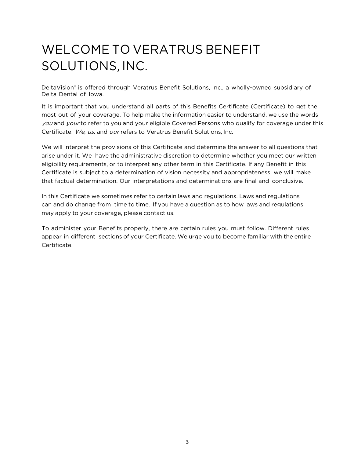# WELCOME TO VERATRUS BENEFIT SOLUTIONS, INC.

DeltaVision® is offered through Veratrus Benefit Solutions, Inc., a wholly-owned subsidiary of Delta Dental of Iowa.

It is important that you understand all parts of this Benefits Certificate (Certificate) to get the most out of your coverage. To help make the information easier to understand, we use the words you and your to refer to you and your eligible Covered Persons who qualify for coverage under this Certificate. We, us, and our refers to Veratrus Benefit Solutions, Inc.

We will interpret the provisions of this Certificate and determine the answer to all questions that arise under it. We have the administrative discretion to determine whether you meet our written eligibility requirements, or to interpret any other term in this Certificate. If any Benefit in this Certificate is subject to a determination of vision necessity and appropriateness, we will make that factual determination. Our interpretations and determinations are final and conclusive.

In this Certificate we sometimes refer to certain laws and regulations. Laws and regulations can and do change from time to time. If you have a question as to how laws and regulations may apply to your coverage, please contact us.

To administer your Benefits properly, there are certain rules you must follow. Different rules appear in different sections of your Certificate. We urge you to become familiar with the entire Certificate.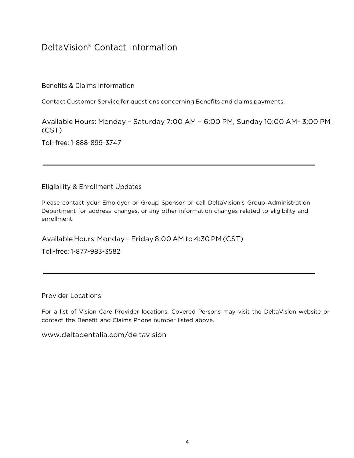### DeltaVision® Contact Information

Benefits & Claims Information

Contact Customer Service for questions concerning Benefits and claims payments.

Available Hours: Monday – Saturday 7:00 AM – 6:00 PM, Sunday 10:00 AM- 3:00 PM (CST)

Toll-free: 1-888-899-3747

#### Eligibility & Enrollment Updates

Please contact your Employer or Group Sponsor or call DeltaVision's Group Administration Department for address changes, or any other information changes related to eligibility and enrollment.

Available Hours: Monday – Friday 8:00 AM to 4:30 PM (CST)

Toll-free: 1-877-983-3582

#### Provider Locations

For a list of Vision Care Provider locations, Covered Persons may visit the DeltaVision website or contact the Benefit and Claims Phone number listed above.

[www.deltadentalia.com/deltavision](http://www.deltadentalia.com/deltavision)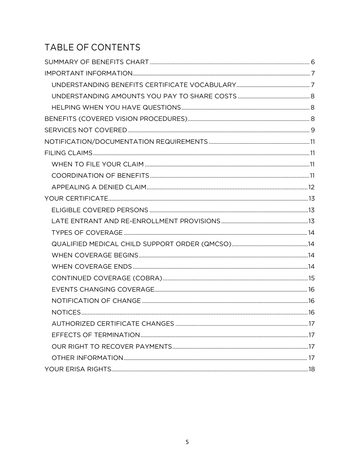### TABLE OF CONTENTS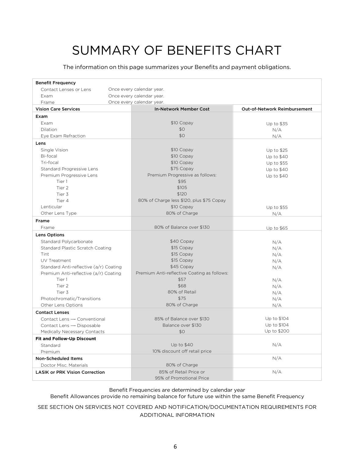### SUMMARY OF BENEFITS CHART

<span id="page-5-0"></span>The information on this page summarizes your Benefits and payment obligations.

| <b>Benefit Frequency</b>                            |                                                    |                              |  |
|-----------------------------------------------------|----------------------------------------------------|------------------------------|--|
| Contact Lenses or Lens<br>Once every calendar year. |                                                    |                              |  |
| Once every calendar year.<br><b>Fxam</b>            |                                                    |                              |  |
| Frame                                               | Once every calendar year.                          |                              |  |
| <b>Vision Care Services</b>                         | <b>In-Network Member Cost</b>                      | Out-of-Network Reimbursement |  |
| Exam                                                |                                                    |                              |  |
| Exam                                                | \$10 Copay                                         | Up to \$35                   |  |
| Dilation                                            | \$0                                                | N/A                          |  |
| Eye Exam Refraction                                 | \$0                                                | N/A                          |  |
| Lens                                                |                                                    |                              |  |
| Single Vision                                       | \$10 Copay                                         | Up to \$25                   |  |
| Bi-focal                                            | \$10 Copay                                         | Up to \$40                   |  |
| Tri-focal                                           | \$10 Copay                                         | Up to \$55                   |  |
| Standard Progressive Lens                           | \$75 Copay                                         | Up to \$40                   |  |
| Premium Progressive Lens                            | Premium Progressive as follows:                    | Up to \$40                   |  |
| Tier 1                                              | \$95                                               |                              |  |
| Tier 2                                              | \$105                                              |                              |  |
| Tier 3                                              | \$120                                              |                              |  |
| Tier 4                                              | 80% of Charge less \$120, plus \$75 Copay          |                              |  |
| Lenticular                                          | \$10 Copay                                         | Up to \$55                   |  |
| Other Lens Type                                     | 80% of Charge                                      | N/A                          |  |
| Frame                                               |                                                    |                              |  |
| Frame                                               | 80% of Balance over \$130                          | Up to \$65                   |  |
| <b>Lens Options</b>                                 |                                                    |                              |  |
| Standard Polycarbonate                              | \$40 Copay                                         | N/A                          |  |
| Standard Plastic Scratch Coating                    | \$15 Copay                                         | N/A                          |  |
| Tint                                                | \$15 Copay                                         | N/A                          |  |
| UV Treatment                                        | \$15 Copay                                         | N/A                          |  |
| Standard Anti-reflective (a/r) Coating              | \$45 Copay                                         | N/A                          |  |
| Premium Anti-reflective (a/r) Coating               | Premium Anti-reflective Coating as follows:        |                              |  |
| Tier 1                                              | \$57                                               | N/A                          |  |
| Tier 2                                              | \$68                                               | N/A                          |  |
| Tier 3                                              | 80% of Retail                                      | N/A                          |  |
| Photochromatic/Transitions                          | \$75                                               | N/A                          |  |
| Other Lens Options                                  | 80% of Charge                                      | N/A                          |  |
| <b>Contact Lenses</b>                               |                                                    |                              |  |
| Contact Lens - Conventional                         | 85% of Balance over \$130                          | Up to \$104                  |  |
| Contact Lens - Disposable                           | Balance over \$130                                 | Up to \$104                  |  |
| <b>Medically Necessary Contacts</b>                 | \$0                                                | Up to \$200                  |  |
| Fit and Follow-Up Discount                          |                                                    |                              |  |
| Standard                                            | Up to \$40                                         | N/A                          |  |
| Premium                                             | 10% discount off retail price                      |                              |  |
| <b>Non-Scheduled Items</b>                          |                                                    | N/A                          |  |
| Doctor Misc. Materials                              | 80% of Charge                                      |                              |  |
| <b>LASIK or PRK Vision Correction</b>               | 85% of Retail Price or<br>95% of Promotional Price | N/A                          |  |

Benefit Frequencies are determined by calendar year

Benefit Allowances provide no remaining balance for future use within the same Benefit Frequency

SEE SECTION ON SERVICES NOT COVERED AND NOTIFICATION/DOCUMENTATION REQUIREMENTS FOR ADDITIONAL INFORMATION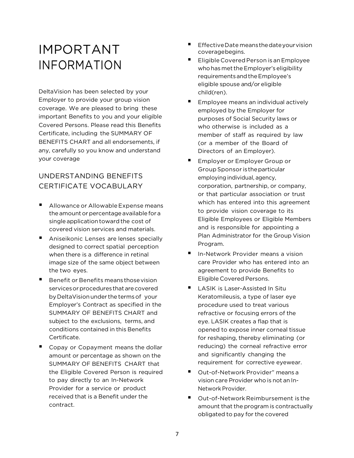### <span id="page-6-0"></span>IMPORTANT INFORMATION

DeltaVision has been selected by your Employer to provide your group vision coverage. We are pleased to bring these important Benefits to you and your eligible Covered Persons. Please read this Benefits Certificate, including the SUMMARY OF BENEFITS CHART and all endorsements, if any, carefully so you know and understand your coverage

### <span id="page-6-1"></span>UNDERSTANDING BENEFITS CERTIFICATE VOCABULARY

- Allowance or AllowableExpense means the amount or percentage available for a single applicationtowardthe cost of covered vision services and materials.
- Aniseikonic Lenses are lenses specially designed to correct spatial perception when there is a difference in retinal image size of the same object between the two eyes.
- Benefit or Benefits means those vision services or procedures that are covered byDeltaVisionunder the termsof your Employer's Contract as specified in the SUMMARY OF BENEFITS CHART and subject to the exclusions, terms, and conditions contained in this Benefits Certificate.
- Copay or Copayment means the dollar amount or percentage as shown on the SUMMARY OF BENEFITS CHART that the Eligible Covered Person is required to pay directly to an In-Network Provider for a service or product received that is a Benefit under the contract.
- EffectiveDate meansthedate your vision coveragebegins.
- Eligible CoveredPerson is anEmployee who has met the Employer's eligibility requirementsandtheEmployee's eligible spouse and/or eligible child(ren).
- Employee means an individual actively employed by the Employer for purposes of Social Security laws or who otherwise is included as a member of staff as required by law (or a member of the Board of Directors of an Employer).
- Employer or Employer Group or GroupSponsor istheparticular employing individual, agency, corporation, partnership, or company, or that particular association or trust which has entered into this agreement to provide vision coverage to its Eligible Employees or Eligible Members and is responsible for appointing a Plan Administrator for the Group Vision Program.
- In-Network Provider means a vision care Provider who has entered into an agreement to provide Benefits to Eligible Covered Persons.
- LASIK is Laser-Assisted In Situ Keratomileusis, a type of laser eye procedure used to treat various refractive or focusing errors of the eye. LASIK creates a flap that is opened to expose inner corneal tissue for reshaping, thereby eliminating (or reducing) the corneal refractive error and significantly changing the requirement for corrective eyewear.
- Out-of-Network Provider" means a vision care Provider who is not an In-Network Provider.
- Out-of-Network Reimbursement is the amount that the program is contractually obligated to pay for the covered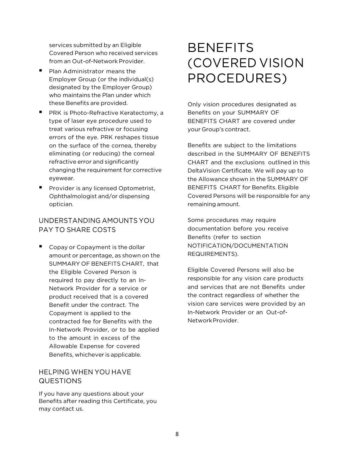services submitted by an Eligible Covered Person who received services from an Out-of-Network Provider.

- Plan Administrator means the Employer Group (or the individual(s) designated by the Employer Group) who maintains the Plan under which these Benefits are provided.
- **PRK is Photo-Refractive Keratectomy, a** type of laser eye procedure used to treat various refractive or focusing errors of the eye. PRK reshapes tissue on the surface of the cornea, thereby eliminating (or reducing) the corneal refractive error and significantly changing the requirement for corrective eyewear.
- **Provider is any licensed Optometrist,** Ophthalmologist and/or dispensing optician.

#### <span id="page-7-0"></span>UNDERSTANDING AMOUNTS YOU PAY TO SHARE COSTS

Copay or Copayment is the dollar amount or percentage, as shown on the SUMMARY OF BENEFITS CHART, that the Eligible Covered Person is required to pay directly to an In-Network Provider for a service or product received that is a covered Benefit under the contract. The Copayment is applied to the contracted fee for Benefits with the In-Network Provider, or to be applied to the amount in excess of the Allowable Expense for covered Benefits, whichever is applicable.

#### HELPING WHEN YOU HAVE QUESTIONS

If you have any questions about your Benefits after reading this Certificate, you may contact us.

### <span id="page-7-2"></span>**BENEFITS** (COVERED VISION PROCEDURES)

Only vision procedures designated as Benefits on your SUMMARY OF BENEFITS CHART are covered under your Group's contract.

Benefits are subject to the limitations described in the SUMMARY OF BENEFITS CHART and the exclusions outlined in this DeltaVision Certificate. We will pay up to the Allowance shown in the SUMMARY OF BENEFITS CHART for Benefits. Eligible Covered Persons will be responsible for any remaining amount.

Some procedures may require documentation before you receive Benefits (refer to section NOTIFICATION/DOCUMENTATION REQUIREMENTS).

<span id="page-7-3"></span><span id="page-7-1"></span>Eligible Covered Persons will also be responsible for any vision care products and services that are not Benefits under the contract regardless of whether the vision care services were provided by an In-Network Provider or an Out-of-NetworkProvider.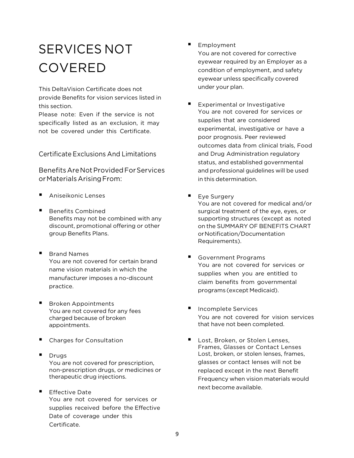# SERVICES NOT COVERED

This DeltaVision Certificate does not provide Benefits for vision services listed in this section.

Please note: Even if the service is not specifically listed as an exclusion, it may not be covered under this Certificate.

Certificate Exclusions And Limitations

Benefits Are Not Provided For Services orMaterialsArisingFrom:

- Aniseikonic Lenses
- Benefits Combined Benefits may not be combined with any discount, promotional offering or other group Benefits Plans.
- $\blacksquare$  Brand Names You are not covered for certain brand name vision materials in which the manufacturer imposes a no-discount practice.
- **Broken Appointments** You are not covered for any fees charged because of broken appointments.
- Charges for Consultation
- **Drugs** You are not covered for prescription, non-prescription drugs, or medicines or therapeutic drug injections.
- **Effective Date** You are not covered for services or supplies received before the Effective Date of coverage under this Certificate.

**Employment** 

You are not covered for corrective eyewear required by an Employer as a condition of employment, and safety eyewear unless specifically covered under your plan.

- Experimental or Investigative You are not covered for services or supplies that are considered experimental, investigative or have a poor prognosis. Peer reviewed outcomes data from clinical trials, Food and Drug Administration regulatory status, and established governmental and professional guidelines will be used in this determination.
- Eye Surgery

You are not covered for medical and/or surgical treatment of the eye, eyes, or supporting structures (except as noted on the SUMMARY OF BENEFITS CHART orNotification/Documentation Requirements).

- Government Programs You are not covered for services or supplies when you are entitled to claim benefits from governmental programs (except Medicaid).
- Incomplete Services You are not covered for vision services that have not been completed.
- Lost, Broken, or Stolen Lenses, Frames, Glasses or Contact Lenses Lost, broken, or stolen lenses, frames, glasses or contact lenses will not be replaced except in the next Benefit Frequency when vision materials would next become available.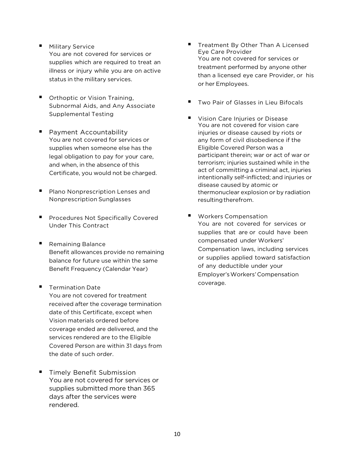- **Military Service** You are not covered for services or supplies which are required to treat an illness or injury while you are on active status in the military services.
- **T** Orthoptic or Vision Training, Subnormal Aids, and Any Associate Supplemental Testing
- **Payment Accountability** You are not covered for services or supplies when someone else has the legal obligation to pay for your care, and when, in the absence of this Certificate, you would not be charged.
- **Plano Nonprescription Lenses and** Nonprescription Sunglasses
- **Procedures Not Specifically Covered** Under This Contract
- Remaining Balance Benefit allowances provide no remaining balance for future use within the same Benefit Frequency (Calendar Year)
- **Termination Date** You are not covered for treatment received after the coverage termination date of this Certificate, except when Vision materials ordered before coverage ended are delivered, and the services rendered are to the Eligible Covered Person are within 31 days from the date of such order.
- **Timely Benefit Submission** You are not covered for services or supplies submitted more than 365 days after the services were rendered.
- Treatment By Other Than A Licensed Eye Care Provider You are not covered for services or treatment performed by anyone other than a licensed eye care Provider, or his or her Employees.
- **Two Pair of Glasses in Lieu Bifocals**
- Vision Care Injuries or Disease You are not covered for vision care injuries or disease caused by riots or any form of civil disobedience if the Eligible Covered Person was a participant therein; war or act of war or terrorism; injuries sustained while in the act of committing a criminal act, injuries intentionally self-inflicted; and injuries or disease caused by atomic or thermonuclear explosion or by radiation resulting therefrom.
- Workers Compensation You are not covered for services or supplies that are or could have been compensated under Workers' Compensation laws, including services or supplies applied toward satisfaction of any deductible under your Employer'sWorkers'Compensation coverage.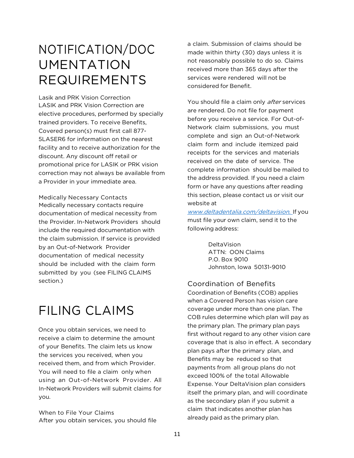### <span id="page-10-0"></span>NOTIFICATION/DOC UMENTATION REQUIREMENTS

Lasik and PRK Vision Correction LASIK and PRK Vision Correction are elective procedures, performed by specially trained providers. To receive Benefits, Covered person(s) must first call 877- 5LASER6 for information on the nearest facility and to receive authorization for the discount. Any discount off retail or promotional price for LASIK or PRK vision correction may not always be available from a Provider in your immediate area.

Medically Necessary Contacts Medically necessary contacts require documentation of medical necessity from the Provider. In-Network Providers should include the required documentation with the claim submission. If service is provided by an Out-of-Network Provider documentation of medical necessity should be included with the claim form submitted by you (see FILING CLAIMS section.)

### <span id="page-10-1"></span>FILING CLAIMS

Once you obtain services, we need to receive a claim to determine the amount of your Benefits. The claim lets us know the services you received, when you received them, and from which Provider. You will need to file a claim only when using an Out-of-Network Provider. All In-Network Providers will submit claims for you.

<span id="page-10-2"></span>When to File Your Claims After you obtain services, you should file a claim. Submission of claims should be made within thirty (30) days unless it is not reasonably possible to do so. Claims received more than 365 days after the services were rendered will not be considered for Benefit.

You should file a claim only after services are rendered. Do not file for payment before you receive a service. For Out-of-Network claim submissions, you must complete and sign an Out-of-Network claim form and include itemized paid receipts for the services and materials received on the date of service. The complete information should be mailed to the address provided. If you need a claim form or have any questions after reading this section, please contact us or visit our website at

[www.deltadentalia.com/deltavision](http://www.deltadentalia.com/deltavision). If you must file your own claim, send it to the following address:

> <span id="page-10-3"></span>DeltaVision ATTN: OON Claims P.O. Box 9010 Johnston, Iowa 50131-9010

#### Coordination of Benefits

Coordination of Benefits (COB) applies when a Covered Person has vision care coverage under more than one plan. The COB rules determine which plan will pay as the primary plan. The primary plan pays first without regard to any other vision care coverage that is also in effect. A secondary plan pays after the primary plan, and Benefits may be reduced so that payments from all group plans do not exceed 100% of the total Allowable Expense. Your DeltaVision plan considers itself the primary plan, and will coordinate as the secondary plan if you submit a claim that indicates another plan has already paid as the primary plan.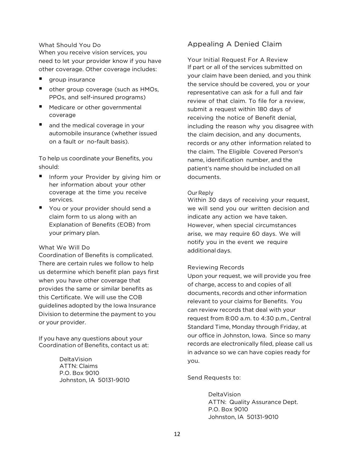#### What Should You Do

When you receive vision services, you need to let your provider know if you have other coverage. Other coverage includes:

- group insurance
- other group coverage (such as HMOs, PPOs, and self-insured programs)
- **Medicare or other governmental** coverage
- **and the medical coverage in your** automobile insurance (whether issued on a fault or no-fault basis).

To help us coordinate your Benefits, you should:

- **Inform your Provider by giving him or** her information about your other coverage at the time you receive services.
- You or your provider should send a claim form to us along with an Explanation of Benefits (EOB) from your primary plan.

#### What We Will Do

Coordination of Benefits is complicated. There are certain rules we follow to help us determine which benefit plan pays first when you have other coverage that provides the same or similar benefits as this Certificate. We will use the COB guidelines adopted by the Iowa Insurance Division to determine the payment to you or your provider.

If you have any questions about your Coordination of Benefits, contact us at:

> DeltaVision ATTN: Claims P.O. Box 9010 Johnston, IA 50131-9010

#### <span id="page-11-0"></span>Appealing A Denied Claim

Your Initial Request For A Review If part or all of the services submitted on your claim have been denied, and you think the service should be covered, you or your representative can ask for a full and fair review of that claim. To file for a review, submit a request within 180 days of receiving the notice of Benefit denial, including the reason why you disagree with the claim decision, and any documents, records or any other information related to the claim. The Eligible Covered Person's name, identification number, and the patient's name should be included on all documents.

#### Our Reply

Within 30 days of receiving your request, we will send you our written decision and indicate any action we have taken. However, when special circumstances arise, we may require 60 days. We will notify you in the event we require additional days.

#### Reviewing Records

Upon your request, we will provide you free of charge, access to and copies of all documents, records and other information relevant to your claims for Benefits. You can review records that deal with your request from 8:00 a.m. to 4:30 p.m., Central Standard Time, Monday through Friday, at our office in Johnston, Iowa. Since so many records are electronically filed, please call us in advance so we can have copies ready for you.

Send Requests to:

DeltaVision ATTN: Quality Assurance Dept. P.O. Box 9010 Johnston, IA 50131-9010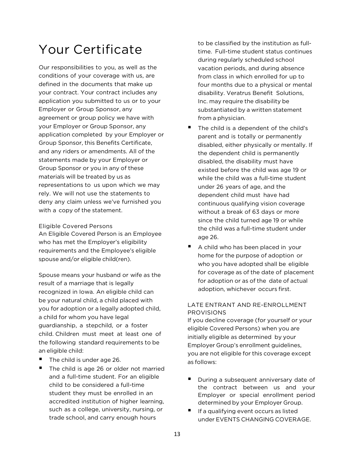# <span id="page-12-0"></span>Your Certificate

Our responsibilities to you, as well as the conditions of your coverage with us, are defined in the documents that make up your contract. Your contract includes any application you submitted to us or to your Employer or Group Sponsor, any agreement or group policy we have with your Employer or Group Sponsor, any application completed by your Employer or Group Sponsor, this Benefits Certificate, and any riders or amendments. All of the statements made by your Employer or Group Sponsor or you in any of these materials will be treated by us as representations to us upon which we may rely. We will not use the statements to deny any claim unless we've furnished you with a copy of the statement.

#### <span id="page-12-1"></span>Eligible Covered Persons

An Eligible Covered Person is an Employee who has met the Employer's eligibility requirements and the Employee's eligible spouse and/or eligible child(ren).

Spouse means your husband or wife as the result of a marriage that is legally recognized in Iowa. An eligible child can be your natural child, a child placed with you for adoption or a legally adopted child, a child for whom you have legal guardianship, a stepchild, or a foster child. Children must meet at least one of the following standard requirements to be an eligible child:

- The child is under age 26.
- The child is age 26 or older not married and a full-time student. For an eligible child to be considered a full-time student they must be enrolled in an accredited institution of higher learning, such as a college, university, nursing, or trade school, and carry enough hours

to be classified by the institution as fulltime. Full-time student status continues during regularly scheduled school vacation periods, and during absence from class in which enrolled for up to four months due to a physical or mental disability. Veratrus Benefit Solutions, Inc. may require the disability be substantiated by a written statement from a physician.

- The child is a dependent of the child's parent and is totally or permanently disabled, either physically or mentally. If the dependent child is permanently disabled, the disability must have existed before the child was age 19 or while the child was a full-time student under 26 years of age, and the dependent child must have had continuous qualifying vision coverage without a break of 63 days or more since the child turned age 19 or while the child was a full-time student under age 26.
- A child who has been placed in your home for the purpose of adoption or who you have adopted shall be eligible for coverage as of the date of placement for adoption or as of the date of actual adoption, whichever occurs first.

#### LATE ENTRANT AND RE-ENROLLMENT PROVISIONS

<span id="page-12-2"></span>If you decline coverage (for yourself or your eligible Covered Persons) when you are initially eligible as determined by your Employer Group's enrollment guidelines, you are not eligible for this coverage except as follows:

- During a subsequent anniversary date of the contract between us and your Employer or special enrollment period determined by your Employer Group.
- If a qualifying event occurs as listed under EVENTS CHANGING COVERAGE.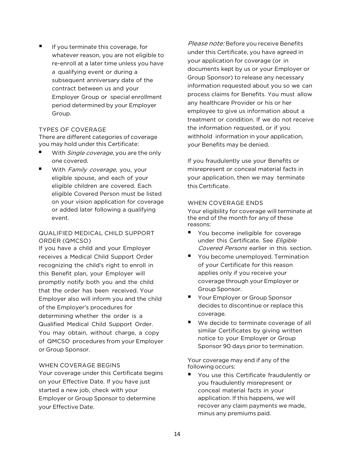If you terminate this coverage, for whatever reason, you are not eligible to re-enroll at a later time unless you have a qualifying event or during a subsequent anniversary date of the contract between us and your Employer Group or special enrollment period determined by your Employer Group.

#### <span id="page-13-0"></span>TYPES OF COVERAGE

There are different categories of coverage you may hold under this Certificate:

- With Single coverage, you are the only one covered.
- With Family coverage, you, your eligible spouse, and each of your eligible children are covered. Each eligible Covered Person must be listed on your vision application for coverage or added later following a qualifying event.

#### <span id="page-13-1"></span>QUALIFIED MEDICAL CHILD SUPPORT ORDER (QMCSO)

If you have a child and your Employer receives a Medical Child Support Order recognizing the child's right to enroll in this Benefit plan, your Employer will promptly notify both you and the child that the order has been received. Your Employer also will inform you and the child of the Employer's procedures for determining whether the order is a Qualified Medical Child Support Order. You may obtain, without charge, a copy of QMCSO procedures from your Employer or Group Sponsor.

#### WHEN COVERAGE BEGINS

Your coverage under this Certificate begins on your Effective Date. If you have just started a new job, check with your Employer or Group Sponsor to determine your Effective Date.

Please note: Before you receive Benefits under this Certificate, you have agreed in your application for coverage (or in documents kept by us or your Employer or Group Sponsor) to release any necessary information requested about you so we can process claims for Benefits. You must allow any healthcare Provider or his or her employee to give us information about a treatment or condition. If we do not receive the information requested, or if you withhold information in your application, your Benefits may be denied.

If you fraudulently use your Benefits or misrepresent or conceal material facts in your application, then we may terminate this Certificate.

#### <span id="page-13-3"></span>WHEN COVERAGE ENDS

Your eligibility for coverage will terminate at the end of the month for any of these reasons:

- You become ineligible for coverage under this Certificate. See Eligible Covered Persons earlier in this section.
- You become unemployed. Termination of your Certificate for this reason applies only if you receive your coverage through your Employer or Group Sponsor.
- Your Employer or Group Sponsor decides to discontinue or replace this coverage.
- We decide to terminate coverage of all similar Certificates by giving written notice to your Employer or Group Sponsor 90 days prior to termination.

<span id="page-13-2"></span>Your coverage may end if any of the following occurs:

You use this Certificate fraudulently or you fraudulently misrepresent or conceal material facts in your application. If this happens, we will recover any claim payments we made, minus any premiums paid.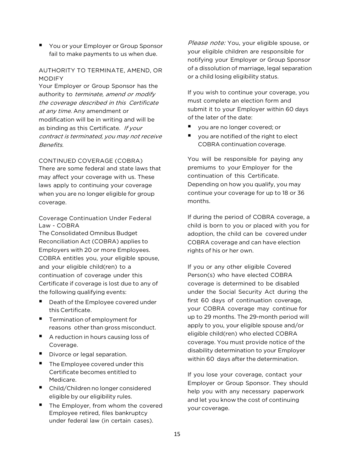You or your Employer or Group Sponsor fail to make payments to us when due.

#### AUTHORITY TO TERMINATE, AMEND, OR MODIFY

Your Employer or Group Sponsor has the authority to terminate, amend or modify the coverage described in this Certificate at any time. Any amendment or modification will be in writing and will be as binding as this Certificate. If your contract is terminated, you may not receive Benefits.

CONTINUED COVERAGE (COBRA) There are some federal and state laws that may affect your coverage with us. These laws apply to continuing your coverage when you are no longer eligible for group coverage.

Coverage Continuation Under Federal Law - COBRA

The Consolidated Omnibus Budget Reconciliation Act (COBRA) applies to Employers with 20 or more Employees. COBRA entitles you, your eligible spouse, and your eligible child(ren) to a continuation of coverage under this Certificate if coverage is lost due to any of the following qualifying events:

- Death of the Employee covered under this Certificate.
- **Termination of employment for** reasons other than gross misconduct.
- A reduction in hours causing loss of Coverage.
- Divorce or legal separation.
- The Employee covered under this Certificate becomes entitled to Medicare.
- Child/Children no longer considered eligible by our eligibility rules.
- The Employer, from whom the covered Employee retired, files bankruptcy under federal law (in certain cases).

Please note: You, your eligible spouse, or your eligible children are responsible for notifying your Employer or Group Sponsor of a dissolution of marriage, legal separation or a child losing eligibility status.

If you wish to continue your coverage, you must complete an election form and submit it to your Employer within 60 days of the later of the date:

- vou are no longer covered; or
- you are notified of the right to elect COBRA continuation coverage.

<span id="page-14-0"></span>You will be responsible for paying any premiums to your Employer for the continuation of this Certificate. Depending on how you qualify, you may continue your coverage for up to 18 or 36 months.

If during the period of COBRA coverage, a child is born to you or placed with you for adoption, the child can be covered under COBRA coverage and can have election rights of his or her own.

If you or any other eligible Covered Person(s) who have elected COBRA coverage is determined to be disabled under the Social Security Act during the first 60 days of continuation coverage, your COBRA coverage may continue for up to 29 months. The 29-month period will apply to you, your eligible spouse and/or eligible child(ren) who elected COBRA coverage. You must provide notice of the disability determination to your Employer within 60 days after the determination.

If you lose your coverage, contact your Employer or Group Sponsor. They should help you with any necessary paperwork and let you know the cost of continuing your coverage.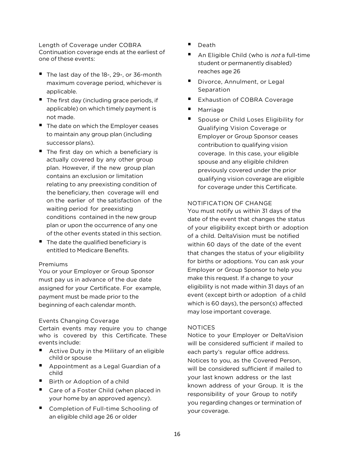Length of Coverage under COBRA Continuation coverage ends at the earliest of one of these events:

- The last day of the 18-, 29-, or 36-month maximum coverage period, whichever is applicable.
- $\blacksquare$  The first day (including grace periods, if applicable) on which timely payment is not made.
- The date on which the Employer ceases to maintain any group plan (including successor plans).
- The first day on which a beneficiary is actually covered by any other group plan. However, if the new group plan contains an exclusion or limitation relating to any preexisting condition of the beneficiary, then coverage will end on the earlier of the satisfaction of the waiting period for preexisting conditions contained in the new group plan or upon the occurrence of any one of the other events stated in this section.
- $\blacksquare$  The date the qualified beneficiary is entitled to Medicare Benefits.

#### Premiums

You or your Employer or Group Sponsor must pay us in advance of the due date assigned for your Certificate. For example, payment must be made prior to the beginning of each calendar month.

#### Events Changing Coverage

Certain events may require you to change who is covered by this Certificate. These events include:

- Active Duty in the Military of an eligible child or spouse
- Appointment as a Legal Guardian of a child
- **Birth or Adoption of a child**
- Care of a Foster Child (when placed in your home by an approved agency).
- Completion of Full-time Schooling of an eligible child age 26 or older
- Death
- An Eligible Child (who is *not* a full-time student or permanently disabled) reaches age 26
- Divorce, Annulment, or Legal Separation
- **Exhaustion of COBRA Coverage**
- **Marriage**
- Spouse or Child Loses Eligibility for Qualifying Vision Coverage or Employer or Group Sponsor ceases contribution to qualifying vision coverage. In this case, your eligible spouse and any eligible children previously covered under the prior qualifying vision coverage are eligible for coverage under this Certificate.

#### <span id="page-15-1"></span>NOTIFICATION OF CHANGE

You must notify us within 31 days of the date of the event that changes the status of your eligibility except birth or adoption of a child. DeltaVision must be notified within 60 days of the date of the event that changes the status of your eligibility for births or adoptions. You can ask your Employer or Group Sponsor to help you make this request. If a change to your eligibility is not made within 31 days of an event (except birth or adoption of a child which is 60 days), the person(s) affected may lose important coverage.

#### <span id="page-15-2"></span><span id="page-15-0"></span>NOTICES

Notice to your Employer or DeltaVision will be considered sufficient if mailed to each party's regular office address. Notices to you, as the Covered Person, will be considered sufficient if mailed to your last known address or the last known address of your Group. It is the responsibility of your Group to notify you regarding changes or termination of your coverage.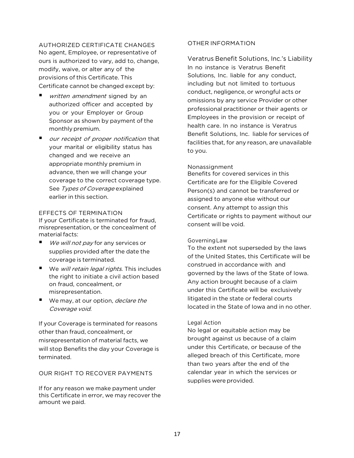#### AUTHORIZED CERTIFICATE CHANGES

No agent, Employee, or representative of ours is authorized to vary, add to, change, modify, waive, or alter any of the provisions of this Certificate. This Certificate cannot be changed except by:

- written amendment signed by an authorized officer and accepted by you or your Employer or Group Sponsor as shown by payment of the monthly premium.
- *our receipt of proper notification* that your marital or eligibility status has changed and we receive an appropriate monthly premium in advance, then we will change your coverage to the correct coverage type. See Types of Coverage explained earlier in this section.

#### EFFECTS OF TERMINATION

If your Certificate is terminated for fraud, misrepresentation, or the concealment of material facts:

- We will not pay for any services or supplies provided after the date the coverage is terminated.
- We *will retain legal rights*. This includes the right to initiate a civil action based on fraud, concealment, or misrepresentation.
- We may, at our option, *declare the* Coverage void.

If your Coverage is terminated for reasons other than fraud, concealment, or misrepresentation of material facts, we will stop Benefits the day your Coverage is terminated.

#### OUR RIGHT TO RECOVER PAYMENTS

If for any reason we make payment under this Certificate in error, we may recover the amount we paid.

#### <span id="page-16-3"></span><span id="page-16-0"></span>OTHER INFORMATION

Veratrus Benefit Solutions, Inc.'s Liability In no instance is Veratrus Benefit Solutions, Inc. liable for any conduct, including but not limited to tortuous conduct, negligence, or wrongful acts or omissions by any service Provider or other professional practitioner or their agents or Employees in the provision or receipt of health care. In no instance is Veratrus Benefit Solutions, Inc. liable for services of facilities that, for any reason, are unavailable to you.

#### Nonassignment

Benefits for covered services in this Certificate are for the Eligible Covered Person(s) and cannot be transferred or assigned to anyone else without our consent. Any attempt to assign this Certificate or rights to payment without our consent will be void.

#### <span id="page-16-1"></span>GoverningLaw

To the extent not superseded by the laws of the United States, this Certificate will be construed in accordance with and governed by the laws of the State of Iowa. Any action brought because of a claim under this Certificate will be exclusively litigated in the state or federal courts located in the State of Iowa and in no other.

#### Legal Action

<span id="page-16-2"></span>No legal or equitable action may be brought against us because of a claim under this Certificate, or because of the alleged breach of this Certificate, more than two years after the end of the calendar year in which the services or supplies were provided.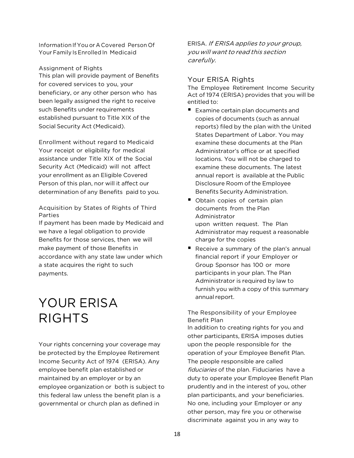Information If You or A Covered Person Of Your Family IsEnrolled In Medicaid

Assignment of Rights

This plan will provide payment of Benefits for covered services to you, your beneficiary, or any other person who has been legally assigned the right to receive such Benefits under requirements established pursuant to Title XIX of the Social Security Act (Medicaid).

Enrollment without regard to Medicaid Your receipt or eligibility for medical assistance under Title XIX of the Social Security Act (Medicaid) will not affect your enrollment as an Eligible Covered Person of this plan, nor will it affect our determination of any Benefits paid to you.

Acquisition by States of Rights of Third Parties

If payment has been made by Medicaid and we have a legal obligation to provide Benefits for those services, then we will make payment of those Benefits in accordance with any state law under which a state acquires the right to such payments.

### <span id="page-17-0"></span>YOUR ERISA RIGHTS

Your rights concerning your coverage may be protected by the Employee Retirement Income Security Act of 1974 (ERISA). Any employee benefit plan established or maintained by an employer or by an employee organization or both is subject to this federal law unless the benefit plan is a governmental or church plan as defined in

ERISA. If ERISA applies to your group, you will want to read this section carefully.

#### Your ERISA Rights

The Employee Retirement Income Security Act of 1974 (ERISA) provides that you will be entitled to:

- Examine certain plan documents and copies of documents (such as annual reports) filed by the plan with the United States Department of Labor. You may examine these documents at the Plan Administrator's office or at specified locations. You will not be charged to examine these documents. The latest annual report is available at the Public Disclosure Room of the Employee Benefits Security Administration.
- Obtain copies of certain plan documents from the Plan Administrator upon written request. The Plan Administrator may request a reasonable charge for the copies
- Receive a summary of the plan's annual financial report if your Employer or Group Sponsor has 100 or more participants in your plan. The Plan Administrator is required by law to furnish you with a copy of this summary annual report.

The Responsibility of your Employee Benefit Plan

In addition to creating rights for you and other participants, ERISA imposes duties upon the people responsible for the operation of your Employee Benefit Plan. The people responsible are called fiduciaries of the plan. Fiduciaries have a duty to operate your Employee Benefit Plan prudently and in the interest of you, other plan participants, and your beneficiaries. No one, including your Employer or any other person, may fire you or otherwise discriminate against you in any way to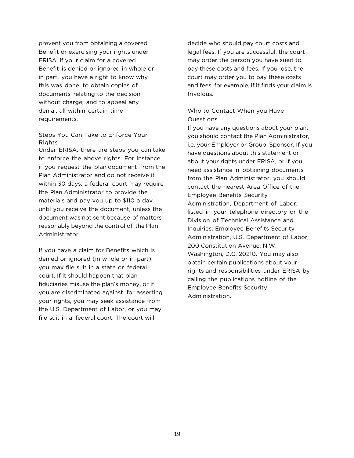prevent you from obtaining a covered Benefit or exercising your rights under ERISA. If your claim for a covered Benefit is denied or ignored in whole or in part, you have a right to know why this was done, to obtain copies of documents relating to the decision without charge, and to appeal any denial, all within certain time requirements.

#### Steps You Can Take to Enforce Your Rights

Under ERISA, there are steps you can take to enforce the above rights. For instance, if you request the plan document from the Plan Administrator and do not receive it within 30 days, a federal court may require the Plan Administrator to provide the materials and pay you up to \$110 a day until you receive the document, unless the document was not sent because of matters reasonably beyond the control of the Plan Administrator.

If you have a claim for Benefits which is denied or ignored (in whole or in part), you may file suit in a state or federal court. If it should happen that plan fiduciaries misuse the plan's money, or if you are discriminated against for asserting your rights, you may seek assistance from the U.S. Department of Labor, or you may file suit in a federal court. The court will

decide who should pay court costs and legal fees. If you are successful, the court may order the person you have sued to pay these costs and fees. If you lose, the court may order you to pay these costs and fees, for example, if it finds your claim is frivolous.

#### Who to Contact When you Have Questions

If you have any questions about your plan, you should contact the Plan Administrator, i.e. your Employer or Group Sponsor. If you have questions about this statement or about your rights under ERISA, or if you need assistance in obtaining documents from the Plan Administrator, you should contact the nearest Area Office of the Employee Benefits Security Administration, Department of Labor, listed in your telephone directory or the Division of Technical Assistance and Inquiries, Employee Benefits Security Administration, U.S. Department of Labor, 200 Constitution Avenue, N.W. Washington, D.C. 20210. You may also obtain certain publications about your rights and responsibilities under ERISA by calling the publications hotline of the Employee Benefits Security Administration.